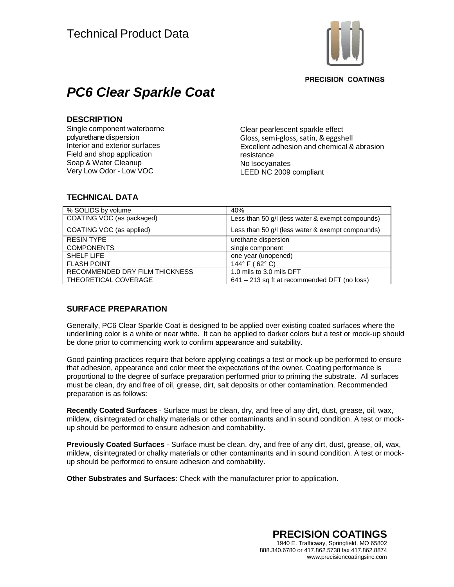

**PRECISION COATINGS** 

# *PC6 Clear Sparkle Coat*

### **DESCRIPTION**

Single component waterborne polyurethane dispersion Interior and exterior surfaces Field and shop application Soap & Water Cleanup Very Low Odor - Low VOC

Clear pearlescent sparkle effect Gloss, semi-gloss, satin, & eggshell Excellent adhesion and chemical & abrasion resistance No Isocyanates LEED NC 2009 compliant

# **TECHNICAL DATA**

| % SOLIDS by volume             | 40%                                              |
|--------------------------------|--------------------------------------------------|
| COATING VOC (as packaged)      | Less than 50 g/l (less water & exempt compounds) |
| COATING VOC (as applied)       | Less than 50 g/l (less water & exempt compounds) |
| <b>RESIN TYPE</b>              | urethane dispersion                              |
| <b>COMPONENTS</b>              | single component                                 |
| SHELF LIFE                     | one year (unopened)                              |
| <b>FLASH POINT</b>             | 144 $\degree$ F (62 $\degree$ C)                 |
| RECOMMENDED DRY FILM THICKNESS | 1.0 mils to 3.0 mils DFT                         |
| THEORETICAL COVERAGE           | 641 – 213 sq ft at recommended DFT (no loss)     |

# **SURFACE PREPARATION**

Generally, PC6 Clear Sparkle Coat is designed to be applied over existing coated surfaces where the underlining color is a white or near white. It can be applied to darker colors but a test or mock-up should be done prior to commencing work to confirm appearance and suitability.

Good painting practices require that before applying coatings a test or mock-up be performed to ensure that adhesion, appearance and color meet the expectations of the owner. Coating performance is proportional to the degree of surface preparation performed prior to priming the substrate. All surfaces must be clean, dry and free of oil, grease, dirt, salt deposits or other contamination. Recommended preparation is as follows:

**Recently Coated Surfaces** - Surface must be clean, dry, and free of any dirt, dust, grease, oil, wax, mildew, disintegrated or chalky materials or other contaminants and in sound condition. A test or mockup should be performed to ensure adhesion and combability.

**Previously Coated Surfaces** - Surface must be clean, dry, and free of any dirt, dust, grease, oil, wax, mildew, disintegrated or chalky materials or other contaminants and in sound condition. A test or mockup should be performed to ensure adhesion and combability.

**Other Substrates and Surfaces**: Check with the manufacturer prior to application.